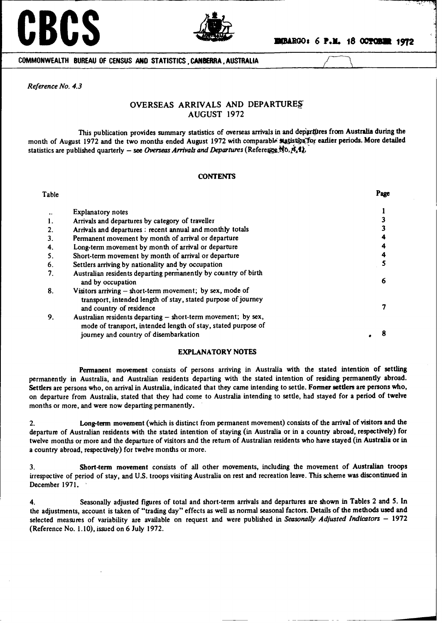# **CBCS a.R. a.R.OOS** *a.R.D.* **<b>b.D. c**. **c**. **c**. **c.** *n.* **18 OCTOBER 1972**



**COMMONWEALTH BUREAU OF CENSUS AND STATISTICS, CANBERRA, AUSTRALIA**

*Reference No. 4.3*

# OVERSEAS ARRIVALS AND DEPARTURE' AUGUST 1972

This publication **provides** summary statistics of overseas **arrivals in** and depigrtpres **from Australia during** the month of August 1972 and the two months ended August 1972 with comparable statistics for earlier periods. More detailed statistics are published quarterly - see Overseas Arrivals and Departures (Reference No. 4,1),

## **CONTENTS**

| Table |                                                                                                                                                                         | Page |
|-------|-------------------------------------------------------------------------------------------------------------------------------------------------------------------------|------|
|       | <b>Explanatory notes</b>                                                                                                                                                |      |
|       | Arrivals and departures by category of traveller                                                                                                                        |      |
|       | Arrivals and departures : recent annual and monthly totals                                                                                                              |      |
| 3.    | Permanent movement by month of arrival or departure                                                                                                                     |      |
| 4.    | Long-term movement by month of arrival or departure                                                                                                                     |      |
| 5.    | Short-term movement by month of arrival or departure                                                                                                                    |      |
| 6.    | Settlers arriving by nationality and by occupation                                                                                                                      |      |
| 7.    | Australian residents departing permanently by country of birth<br>and by occupation                                                                                     | 6    |
| 8.    | Visitors arriving $-$ short-term movement; by sex, mode of<br>transport, intended length of stay, stated purpose of journey<br>and country of residence                 |      |
| 9.    | Australian residents departing - short-term movement; by sex,<br>mode of transport, intended length of stay, stated purpose of<br>journey and country of disembarkation |      |

# EXPLANATORY NOTES

**Permanent movement** consists of persons arriving in Australia with the stated intention **of settling** permanently in Australia, and Australian residents departing with the stated intention **of residing permanently abroad. Settlers are** persons who, on arrival in Australia, indicated that they **came intending** to settle. **Former settlers are persons who,** on departure from Australia, stated that they had come to Australia **intending** to settle, had stayed for a period **of twelve** months or more, and were now departing permanently.

2. Long-term **movement** (which is distinct from permanent movement) consists of the arrival of **visitors and** the departure of Australian **residents** with the stated **intention** of staying (in Australia or in a country abroad, **respectively) for** twelve months or more and the departure of visitors and the return of Australian **residents** who have stayed **(in Australia or in** a country abroad, respectively) for twelve months or more.

**3. Short-term movement** consists of all other movements, including the movement of Australian troops irrespective of period of stay, and U.S. troops visiting Australia on rest and recreation **leave.** This scheme **was discontinued in** December 1971.

4. Seasonally **adjusted figures of** total and short-term **arrivals** and departures **are shown** in **Tables 2 and 5. In** the adjustments, account is taken of "trading day" effects as well as **normal** seasonal factors. Details of the **methods used and selected measures** of variability are **available** on request and were published in *Seasonally Adjusted Indicators* - 1972 (Reference No. 1.10), issued on 6 July 1972.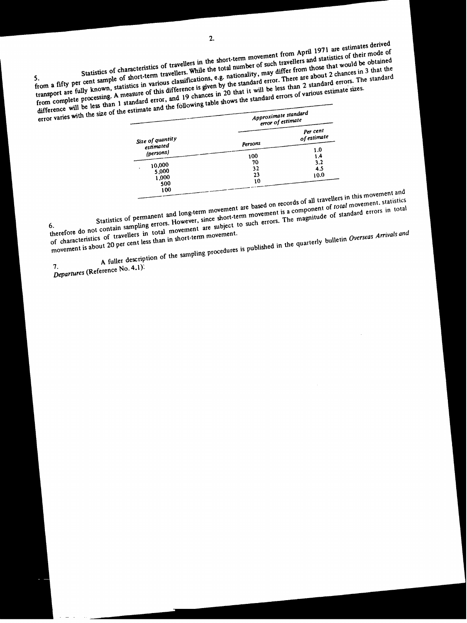Statistics of characteristics of travellers in the short-term movement from April 1971 are estimates derived SPERIES OF CONTROLLERS OF THE TRAVELLERS WHILE THE TRAVELLERS AND INTERNATIONAL TRAVELLERS and statistics of their mode of Short-term travellers. While the total number of such travellers and statistics of their mode of transport are fully known, statistics in various classifications, e.g. nationality, may differ from those that would be obtained<br>transport are fully known, statistics in various classifications, e.g. nationality, may diffe rom a fifty per cent sample of this difference is given by the standard error. These candard errors. The standard errors is a ransport are fully known, statistics in various classifications, by the standard error. These th From complete processing. A measure of this untereme is given by the standard error, There are about 2 chances in 5 that the<br>difference will be less than 1 standard error, and 19 chances in 20 that it will be less than 2 s

| erfor varies with the size of the estimate and the roll which there are | Approximate standard | error of estimate  |
|-------------------------------------------------------------------------|----------------------|--------------------|
|                                                                         |                      | Per cent           |
| Size of quantity<br>estimated                                           | Persons              | of estimate<br>1.0 |
| (persons)                                                               | 100                  | 1.4                |
| 10,000<br>5,000                                                         | 70<br>32             | 3.2<br>4.5         |
| 1,000                                                                   | 23<br>10             | 10.0               |
| 500<br>100                                                              |                      |                    |

are based on records of all travellers in ovement, statistical<br>movement is a component of *total* movement and total movement are based on records of an interest movement, statistic<br>ce short-term movement is a component of *total* movement, statistic<br>ce short-term ush errors. The magnitude of standard errors in tot is a component of the standard errors in total

tistics of permanent and long-<br>aling-errors. However, since s

therefore do not contain the same in total movement.<br>
of characteristics of travellers in total movement.<br>
movement is about 20 per cent less than in short-term movement. Statistics of permits and errors. However, since short to such errors. The magnitude of travellers in total movement are subject to such errors. The magnitude of travellers in total movement are subject to such errors. The **is about 20 per cent less than in short-term movement.** 

A~~~~~urel fuleuesrptonoett"~ description of the sampling procedures is publically

7. *Departures* **(Reference No. 4.1)**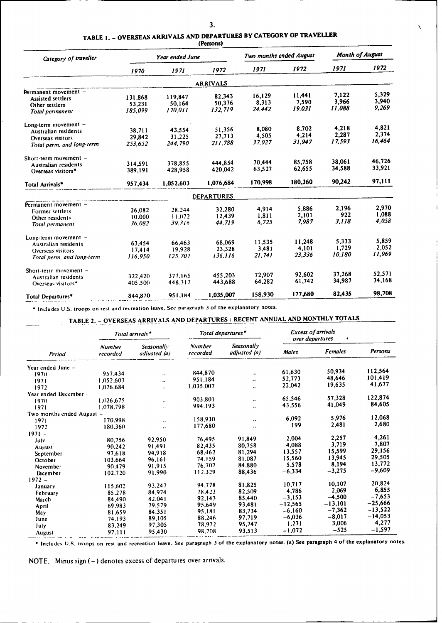Ń,

| TABLE 1. - OVERSEAS ARRIVALS AND DEPARTURES BY CATEGORY OF TRAVELLE. |  |  |
|----------------------------------------------------------------------|--|--|
|                                                                      |  |  |

**(Persons)**

| Category of traveller          |         | Year ended June |                   | Two months ended August |         | <b>Month of August</b> |        |
|--------------------------------|---------|-----------------|-------------------|-------------------------|---------|------------------------|--------|
|                                | 1970    | 1971            | 1972              | 1971                    | 1972    | 1971                   | 1972   |
|                                |         |                 | <b>ARRIVALS</b>   |                         |         |                        |        |
| Permanent movement -           |         |                 |                   |                         |         |                        |        |
| <b>Assisted settlers</b>       | 131,868 | 119,847         | 82,343            | 16,129                  | 11,441  | 7.122                  | 5,329  |
| Other settlers                 | 53,231  | 50,164          | 50.376            | 8,313                   | 7.590   | 3.966                  | 3,940  |
| Total permanent                | 185,099 | 170.011         | 132.719           | 24,442                  | 19,031  | 11.088                 | 9,269  |
| Long-term movement -           |         |                 |                   |                         |         |                        |        |
| Australian residents           | 38.711  | 43.554          | 51,356            | 8,080                   | 8,702   | 4,218                  | 4,821  |
| Overseas visitors              | 29,842  | 31.225          | 27.713            | 4.505                   | 4,214   | 2.287                  | 2,374  |
| Total perm. and long-term      | 253.652 | 244,790         | 211,788           | 37.027                  | 31,947  | 17.593                 | 16,464 |
| Short-term movement $-$        |         |                 |                   |                         |         |                        |        |
| Australian residents           | 314,591 | 378,855         | 444,854           | 70,444                  | 85,758  | 38,061                 | 46,726 |
| Overseas visitors <sup>*</sup> | 389.191 | 428,958         | 420,042           | 63,527                  | 62,655  | 34,588                 | 33,921 |
| Total Arrivals*                | 957,434 | 1.052.603       | 1,076,684         | 170,998                 | 180,360 | 90,242                 | 97,111 |
|                                |         |                 | <b>DEPARTURES</b> |                         |         |                        |        |
| Permanent movement -           |         |                 |                   |                         |         |                        |        |
| Former settlers                | 26,082  | 28.244          | 32,280            | 4,914                   | 5.886   | 2,196                  | 2.970  |
| Other residents                | 10.000  | 11.072          | 12.439            | 1.811                   | 2,101   | 922                    | 1,088  |
| Total permanent                | 36.082  | 39.316          | 44,719            | 6.725                   | 7.987   | 3,118                  | 4,058  |
| Long-term movement -           |         |                 |                   |                         |         |                        |        |
| Australian residents           | 63,454  | 66.463          | 68.069            | 11,535                  | 11.248  | 5.333                  | 5.859  |
| Overseas visitors              | 17.414  | 19.928          | 23,328            | 3.481                   | 4,101   | 1,729                  | 2,052  |
| Total perm, and long-term      | 116.950 | 125.707         | 136.116           | 21.741                  | 23,336  | 10,180                 | 11.969 |
| Short-term movement $-$        |         |                 |                   |                         |         |                        | 52.571 |
| Australian residents           | 322.420 | 377.165         | 455.203           | 72.907                  | 92.602  | 37,268                 | 34,168 |
| Overseas visitors*             | 405.500 | 448,312         | 443,688           | 64,282                  | 61,742  | 34,987                 |        |
| Total Departures*              | 844,870 | 951,184         | 1,035,007         | 158,930                 | 177,680 | 82,435                 | 98,708 |

" Includes U.S. troops on **rest and recreation leave. See paragraph 3 of the explanatory notes.**

# TABLE 2. - OVERSEAS ARRIVALS AND DEPARTURES: RECENT ANNUAL AND MONTHLY TOTALS

|                           |                           | Total arrivals*            |                    | Total departures*                 |              | <b>Excess of arrivals</b><br>over departures<br>$\bullet$ |           |
|---------------------------|---------------------------|----------------------------|--------------------|-----------------------------------|--------------|-----------------------------------------------------------|-----------|
| Period                    | <b>Number</b><br>recorded | Seasonally<br>adjusted (a) | Number<br>recorded | <b>Seasonally</b><br>adjusted (a) | <b>Malcs</b> | <b>Females</b>                                            | Persons   |
| Year ended June -         |                           |                            |                    |                                   |              |                                                           |           |
| 1970                      | 957,434                   | $\ddot{\phantom{0}}$       | 844,870            | $\ddotsc$                         | 61,630       | 50,934                                                    | 112,564   |
| 1971                      | 1.052.603                 | $\ddotsc$                  | 951.184            | $\ddot{\phantom{0}}$              | 52,773       | 48,646                                                    | 101,419   |
| 1972                      | 1.076.684                 | $\ddotsc$                  | 1,035,007          |                                   | 22,042       | 19,635                                                    | 41,677    |
| Year ended December -     |                           |                            |                    |                                   |              |                                                           |           |
| 1970                      | 1.026.675                 |                            | 903,801            |                                   | 65,546       | 57,328                                                    | 122.874   |
| 1971                      | 1.078.798                 |                            | 994.193            | $\ddotsc$                         | 43.556       | 41,049                                                    | 84,605    |
| Two months ended August - |                           |                            |                    |                                   |              |                                                           |           |
| 1971                      | 170.998                   | ٠.                         | 158,930            | $\ddotsc$                         | 6,092        | 5,976                                                     | 12,068    |
| 1972                      | 180,360                   | $\ddot{\phantom{1}}$       | 177,680            | ٠.                                | 199          | 2,481                                                     | 2,680     |
| $1971 -$                  |                           |                            |                    |                                   |              |                                                           |           |
| July                      | 80.756                    | 92.950                     | 76,495             | 91.849                            | 2.004        | 2,257                                                     | 4,261     |
| August                    | 90.242                    | 91.491                     | 82,435             | 80,758                            | 4,088        | 3,719                                                     | 7,807     |
| September                 | 97.618                    | 94.918                     | 68.462             | 81,294                            | 13.557       | 15.599                                                    | 29,156    |
| October                   | 103.664                   | 96.161                     | 74.159             | 81.087                            | 15,560       | 13,945                                                    | 29,505    |
| November                  | 90.479                    | 91.915                     | 76.707             | 84,880                            | 5,578        | 8,194                                                     | 13,772    |
| <b>Lecember</b>           | 102,720                   | 91.990                     | 112.329            | 88,436                            | $-6,334$     | $-3,275$                                                  | $-9,609$  |
| $1972 -$                  |                           |                            |                    |                                   |              |                                                           |           |
| January                   | 115,602                   | 93.247                     | 94.778             | 81.825                            | 10.717       | 10,107                                                    | 20.824    |
| February                  | 85.278                    | 84,974                     | 78,423             | 82,509                            | 4,786        | 2,069                                                     | 6.855     |
| March                     | 84,490                    | 82.041                     | 92.143             | 85,440                            | $-3,153$     | $-4,500$                                                  | $-7,653$  |
| April                     | 69.983                    | 79,579                     | 95,649             | 93,481                            | -12.565      | $-13,101$                                                 | $-25,666$ |
| May                       | 81.659                    | 84.351                     | 95.181             | 83,734                            | $-6,160$     | $-7,362$                                                  | $-13,522$ |
| June                      | 74,193                    | 89,105                     | 88,246             | 97.719                            | $-6,036$     | $-8,017$                                                  | $-14,053$ |
| July                      | 83,249                    | 97,305                     | 78.972             | 95,747                            | 1,271        | 3,006                                                     | 4,277     |
| August                    | 97.111                    | 95,430                     | 98,708             | 93,513                            | $-1,072$     | $-525$                                                    | $-1,597$  |

**"Includes** U.S. troops **on rest and recreation leave. See paragraph 3 of the explanatory notes. (a) See paragraph 4 of the explanatory notes.**

NOTE. Minus sign (-) denotes excess of departures over arrivals.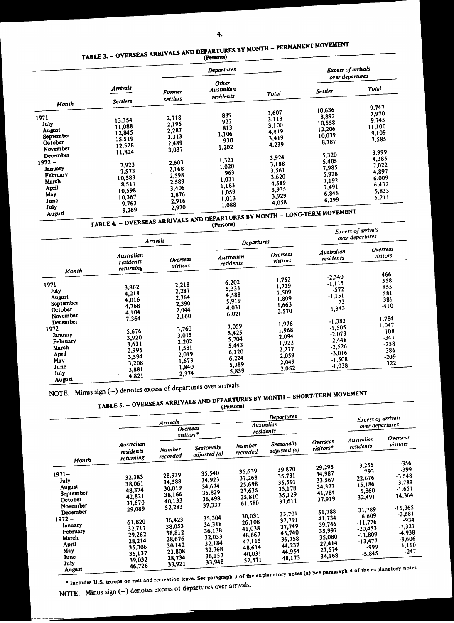# **TABLE 3.** - **OVERSEAS ARRIVALS AND DEPATRES BY MONTH** - **PERMANEMOVEMET**

| Other<br><b>Arrivals</b><br>Australian<br><b>Former</b><br>Total<br>residents<br>settlers<br><b>Settlers</b><br>Month<br>3,607<br>889<br>$1971 -$<br>2,718<br>3,118<br>13,354<br>922<br>July<br>2,196<br>3,100<br>11,088<br>813<br>2,287<br>August<br>4,419<br>12,845<br>1,106<br>September<br>3,313<br>3,419<br>15,519<br>930<br>October<br>2,489<br>4,239<br>12,528<br>1,202<br>November<br>3,037<br>11,824<br>December<br>3,924<br>1,321<br>$1972 -$<br>2,603<br>3,188<br>7,923<br>1,020<br>2,168<br>January<br>3,561<br>7,573<br>963<br>2,598<br>February<br>3,620<br>10,583<br>1,031<br>2,589<br>March<br>4,589<br>8,517<br>1,183<br>April<br>3,406<br>3,935<br>10,598<br>1,059<br>May<br>2,876 | <b>Excess of arrivals</b><br>over departures                                                                                   |                                                                                                                    |
|------------------------------------------------------------------------------------------------------------------------------------------------------------------------------------------------------------------------------------------------------------------------------------------------------------------------------------------------------------------------------------------------------------------------------------------------------------------------------------------------------------------------------------------------------------------------------------------------------------------------------------------------------------------------------------------------------|--------------------------------------------------------------------------------------------------------------------------------|--------------------------------------------------------------------------------------------------------------------|
|                                                                                                                                                                                                                                                                                                                                                                                                                                                                                                                                                                                                                                                                                                      | <b>Settler</b>                                                                                                                 | Total                                                                                                              |
|                                                                                                                                                                                                                                                                                                                                                                                                                                                                                                                                                                                                                                                                                                      |                                                                                                                                | 9,747                                                                                                              |
| 3,929<br>10,367<br>1,013<br>2,916<br>June<br>4,058<br>9,762<br>1,088<br>July<br>2,970                                                                                                                                                                                                                                                                                                                                                                                                                                                                                                                                                                                                                | 10,636<br>8,892<br>10,558<br>12,206<br>10,039<br>8,787<br>5,320<br>5,405<br>7,985<br>5,928<br>7,192<br>7,491<br>6,846<br>6,299 | 7,970<br>9,745<br>11,100<br>9,109<br>7,585<br>3,999<br>4,385<br>7,022<br>4,897<br>6,009<br>6,432<br>5,833<br>5,211 |

TABLE 4. – OVERSEAS ARRIVALS AND DEPARTURES BY MONTH - LONGTERM MORE PROPERTY.

| .<br>Arrivals                                                                                                                                          |                                                                                                                   |                                                                                                                            | $($ reisona $)$<br><b>Departures</b>                                                                                       |                                                                                                                            | <b>Excess of arrivals</b><br>over departures                                                                                                              |                                                                                                      |  |
|--------------------------------------------------------------------------------------------------------------------------------------------------------|-------------------------------------------------------------------------------------------------------------------|----------------------------------------------------------------------------------------------------------------------------|----------------------------------------------------------------------------------------------------------------------------|----------------------------------------------------------------------------------------------------------------------------|-----------------------------------------------------------------------------------------------------------------------------------------------------------|------------------------------------------------------------------------------------------------------|--|
|                                                                                                                                                        | Australian<br>residents                                                                                           | Overseas<br>visitors                                                                                                       | Australian<br>residents                                                                                                    | Overseas<br>visitors                                                                                                       | Australian<br>residents                                                                                                                                   | <b>Overseas</b><br>visitors                                                                          |  |
| Month                                                                                                                                                  | returning                                                                                                         |                                                                                                                            |                                                                                                                            |                                                                                                                            |                                                                                                                                                           | 466                                                                                                  |  |
| $1971 -$<br>July<br>August<br>September<br>October<br>November<br>December<br>$1972 -$<br>January<br>February<br>March<br>April<br>May<br>June<br>July | 3,862<br>4,218<br>4,016<br>4,768<br>4,104<br>7,364<br>5,676<br>3,920<br>3,631<br>2,995<br>3,594<br>3,208<br>3,881 | 2,218<br>2,287<br>2,364<br>2,390<br>2,044<br>2,160<br>3,760<br>3,015<br>2,202<br>1,581<br>2,019<br>1,673<br>1,840<br>2,374 | 6,202<br>5,333<br>4,588<br>5,919<br>4,031<br>6,021<br>7,059<br>5,425<br>5,704<br>5,443<br>6,120<br>6,224<br>5,389<br>5,859 | 1,752<br>1,729<br>1,509<br>1,809<br>1,663<br>2,570<br>1,976<br>1,968<br>2,094<br>1,922<br>2,277<br>2,059<br>2,049<br>2,052 | $-2,340$<br>$-1,115$<br>$-572$<br>$-1,151$<br>73<br>1,343<br>$-1,383$<br>$-1,505$<br>$-2,073$<br>$-2,448$<br>$-2,526$<br>$-3,016$<br>$-1,508$<br>$-1,038$ | 558<br>855<br>581<br>381<br>-410<br>1,784<br>1.047<br>108<br>$-341$<br>$-258$<br>-386<br>-209<br>322 |  |

August<sub>200</sub>

# NOTE. Minus sign (-) denotes excess of departures over arrivals. **TABLE 5.** - **OVERSEAS ARRIVALS AND DEPARTURES BY MONTH** - **SHORTTERM MOVEMENT**

|                                                                                          |                                                                                                                                                       | Arrivals<br><b>Overseas</b>                                                  |                                                                              |                                                                                        | Departures<br>Australian<br>residents                                        |                                                                              | <b>Excess of arrivals</b><br>over departures                                            |                                                                                  |
|------------------------------------------------------------------------------------------|-------------------------------------------------------------------------------------------------------------------------------------------------------|------------------------------------------------------------------------------|------------------------------------------------------------------------------|----------------------------------------------------------------------------------------|------------------------------------------------------------------------------|------------------------------------------------------------------------------|-----------------------------------------------------------------------------------------|----------------------------------------------------------------------------------|
|                                                                                          | Australian<br>residents                                                                                                                               | $visitors$ <sup>*</sup><br><b>Number</b><br>recorded                         | Seasonally<br>adjusted (a)                                                   | <b>Number</b><br>recorded                                                              | Seasonally<br>adjusted (a)                                                   | Overseas<br>$visitors*$                                                      | Australian<br>residents                                                                 | Overseas<br>visitors                                                             |
| Month<br>$1971 -$<br>July<br>August<br>September<br>October                              | returning<br>32,383<br>38,061<br>48,374<br>42,821                                                                                                     | 28,939<br>34,588<br>30,019<br>38,166<br>40,133                               | 35,540<br>34,923<br>34,674<br>35,829<br>36,498                               | 35,639<br>37,268<br>25,698<br>27,635<br>25,810                                         | 39,870<br>35,731<br>35,591<br>35,178<br>35,129<br>37,611                     | 29,295<br>34,987<br>33,567<br>34,377<br>41,784<br>37,919                     | $-3,256$<br>793<br>22,676<br>15,186<br>5,860<br>$-32,491$                               | $-356$<br>-399<br>$-3,548$<br>3,789<br>$-1.651$<br>14.364                        |
| November<br>December<br>$1972 -$<br>January<br>February<br>March<br>April<br>May<br>June | 31,670<br>29,089<br>61,820<br>32,717<br>29,262<br>28,214<br>35,306<br>35,137<br>39,032                                                                | 52,283<br>36,423<br>38,053<br>38,812<br>28,676<br>30,142<br>23,808<br>28,734 | 37,337<br>35,304<br>34,318<br>36,138<br>32,033<br>32,184<br>32,768<br>36,157 | 61,580<br>30,031<br>26,108<br>41,038<br>48,667<br>47,115<br>48,614<br>40,031<br>52,571 | 33,701<br>32,791<br>37,749<br>45,740<br>36,758<br>44,237<br>44,954<br>48,173 | 51,788<br>41,734<br>39,746<br>35,997<br>35,080<br>27,414<br>27,574<br>34,168 | 31,789<br>6,609<br>$-11,776$<br>$-20,453$<br>$-11,809$<br>$-13,477$<br>-999<br>$-5,845$ | $-15,365$<br>$-3,681$<br>-934<br>$-7,321$<br>-4,938<br>-3,606<br>1,160<br>$-247$ |
| July<br>NOTE. Minus sign $(-)$ denotes excess of departures over arrivals.               | 46,726<br>* Includes U.S. troops on rest and recreation leave. See paragraph 3 of the explanatory notes (a) See paragraph 4 of the explanatory notes. | 33,921                                                                       | 33,948                                                                       |                                                                                        |                                                                              |                                                                              |                                                                                         |                                                                                  |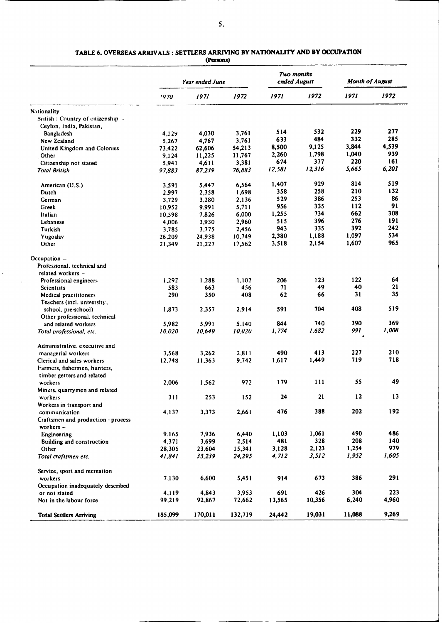- -

# TABLE 6. OVERSEAS ARRIVALS : SETTLERS ARRIVING BY NATIONALITY AND BY OCCUPATION

**(Persons)**

|                                    | Year ended June  |         |         | Two months<br>ended August |        | Month of August |       |
|------------------------------------|------------------|---------|---------|----------------------------|--------|-----------------|-------|
|                                    | 1970             | 1971    | 1972    | 1971                       | 1972   | 1971            | 1972  |
| Nationality -                      |                  |         |         |                            |        |                 |       |
| British: Country of citizenship -  |                  |         |         |                            |        |                 |       |
| Ceylon, India, Pakistan,           |                  |         |         |                            |        |                 |       |
| Bangladesh                         | 4,129            | 4,030   | 3,761   | 514                        | 532    | 229             | 277   |
| New Zealand                        | 5,267            | 4,767   | 3,761   | 633                        | 484    | 332             | 285   |
| United Kingdom and Colonies        | 73,422           | 62,606  | 54,213  | 8,500                      | 9,125  | 3,844           | 4,539 |
| Other                              | 9,124            | 11,225  | 11,767  | 2,260                      | 1,798  | 1,040           | 939   |
| Citizenship not stated             | 5,941            | 4,611   | 3,381   | 674                        | 377    | 220             | 161   |
| <b>Total British</b>               | 97,883           | 87,239  | 76,883  | 12,581                     | 12,316 | 5,665           | 6,201 |
| American (U.S.)                    | 3,591            | 5,447   | 6,564   | 1,407                      | 929    | 814             | 519   |
| Dutch                              | 2,997            | 2,358   | 1,698   | 358                        | 258    | 210             | 132   |
| German                             | 3,729            | 3,280   | 2,136   | 529                        | 386    | 253             | 86    |
| Greek                              | 10,952           | 9,991   | 5,711   | 956                        | 335    | 112             | 91    |
| Italian                            | 10,598           | 7,826   | 6,000   | 1,255                      | 734    | 662             | 308   |
| Lebanese                           | 4,006            | 3,930   | 2,960   | 515                        | 396    | 276             | 191   |
| Turkish                            | 3,785            | 3,775   | 2,456   | 943                        | 335    | 392             | 242   |
| Yugoslav                           | 26,209           | 24,938  | 10,749  | 2,380                      | 1,188  | 1,097           | 534   |
| Other                              | 21,349           | 21,227  | 17,562  | 3,518                      | 2,154  | 1,607           | 965   |
| Occupation $-$                     |                  |         |         |                            |        |                 |       |
| Professional, technical and        |                  |         |         |                            |        |                 |       |
| related workers -                  |                  |         |         |                            |        |                 |       |
| Professional engineers             | $-1,292$         | 1,288   | 1,102   | 206                        | 123    | 122             | 64    |
| <b>Scientists</b>                  | 583              | 663     | 456     | 71                         | 49     | 40              | 21    |
| <b>Medical practitioners</b>       | 290              | 350     | 408     | 62                         | 66     | 31              | 35    |
| Teachers (incl. university,        |                  |         |         |                            |        |                 |       |
| school, pre-school)                | 1,873            | 2,357   | 2,914   | 591                        | 704    | 408             | 519   |
| Other professional, technical      |                  |         |         |                            |        |                 |       |
| and related workers                | 5,982            | 5,991   | 5.140   | 844                        | 740    | 390             | 369   |
| Total professional, etc.           | 10,020           | 10,649  | 10,020  | 1.774                      | 1.682  | 991             | 1,008 |
| Administrative, executive and      |                  |         |         |                            |        |                 |       |
| managerial workers                 | 3,568            | 3,262   | 2,811   | 490                        | 413    | 227             | 210   |
| Clerical and sales workers         | 12,748           | 11,363  | 9,742   | 1,617                      | 1,449  | 719             | 718   |
| Farmers, fishermen, hunters,       |                  |         |         |                            |        |                 |       |
| timber getters and related         |                  |         |         |                            |        |                 |       |
| workers                            | 2,006            | 1,562   | 972     | 179                        | 111    | 55              | 49    |
| Miners, quarrymen and related      |                  |         |         |                            |        |                 |       |
| workers                            | 311              | 253     | 152     | 24                         | 21     | 12              | 13    |
| Workers in transport and           |                  |         |         |                            |        |                 |       |
| communication                      | 4.137            | 3,373   | 2,661   | 476                        | 388    | 202             | 192   |
| Craftsmen and production - process |                  |         |         |                            |        |                 |       |
| workers -                          |                  |         |         |                            |        |                 |       |
| <b>Engineering</b>                 | 9,165            | 7,936   | 6,440   | 1,103                      | 1,061  | 490             | 486   |
| <b>Building and construction</b>   | 4,371            | 3,699   | 2,514   | 481                        | 328    | 208             | 140   |
| Other                              |                  | 23,604  | 15,341  | 3,128                      | 2,123  | 1,254           | 979   |
| Total craftsmen etc.               | 28,305<br>41.841 | 35,239  | 24,295  | 4,712                      | 3,512  | 1,952           | 1,605 |
| Service, sport and recreation      |                  |         |         |                            |        |                 |       |
| workers                            | 7,130            | 6,600   | 5,451   | 914                        | 673    | 386             | 291   |
| Occupation inadequately described  |                  |         |         |                            |        |                 |       |
| or not stated                      | 4,119            | 4,843   | 3,953   | 691                        | 426    | 304             | 223   |
| Not in the labour force            | 99,219           | 92,867  | 72,662  | 13,565                     | 10,356 | 6,240           | 4,960 |
| <b>Total Settlers Arriving</b>     | 185,099          | 170,011 | 132,719 | 24,442                     | 19,031 | 11,088          | 9,269 |

 $\hat{\mathcal{L}}$ 

 $\sim$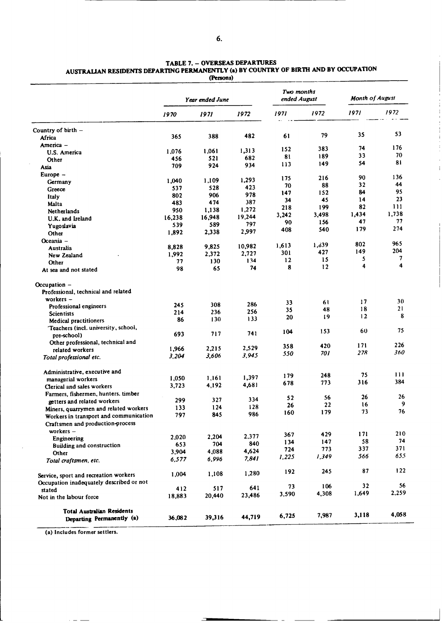| AUSTRALIAN RESIDENTS DEPARTING PERMANENTLY (a) BY COUNTRY OF BIRTH AND BY OCCUPATION | (Persons)       |      |      |                            |                       |     |
|--------------------------------------------------------------------------------------|-----------------|------|------|----------------------------|-----------------------|-----|
|                                                                                      | Year ended June |      |      | Two months<br>ended August | <b>Month of Augus</b> |     |
| 1070                                                                                 | 1071            | 1972 | 1971 | 1972                       | 1971                  | 191 |

 $\ddot{\phantom{a}}$ 

**TABLE 7.** - **OVERSEAS DEPARTURES**

|                                                                | 1970   | 1971   | 1972   | 1971      | 1972  | 1971  | 1972  |
|----------------------------------------------------------------|--------|--------|--------|-----------|-------|-------|-------|
| Country of birth -                                             |        |        |        |           |       |       |       |
| Africa                                                         | 365    | 388    | 482    | 61        | 79    | 35    | 53    |
| America -                                                      |        |        |        |           |       | 74    | 176   |
| U.S. America                                                   | 1,076  | 1,061  | 1,313  | 152       | 383   | 33    | 70    |
| Other                                                          | 456    | 521    | 682    | 81        | 189   | 54    | 81    |
| Asia                                                           | 709    | 924    | 934    | 113       | 149   |       |       |
| $Europe -$                                                     |        |        |        |           | 216   | 90    | 136   |
| Germany                                                        | 1,040  | 1,109  | 1,293  | 175<br>70 | 88    | 32    | 44    |
| Greece                                                         | 537    | 528    | 423    | 147       | 152   | 84    | 95    |
| Italy                                                          | 802    | 906    | 978    | 34        | 45    | 14    | 23    |
| Malta                                                          | 483    | 474    | 387    |           | 199   | 82    | 111   |
| <b>Netherlands</b>                                             | 950    | 1,138  | 1,272  | 218       |       | 1,434 | 1,738 |
| U.K. and Ireland                                               | 16,238 | 16,948 | 19,244 | 3,242     | 3,498 | 47    | 77    |
| Yugoslavia                                                     | 539    | 589    | 797    | 90        | 156   |       | 274   |
| Other                                                          | 1,892  | 2,338  | 2,997  | 408       | 540   | 179   |       |
| Oceania -                                                      |        |        |        |           |       |       |       |
| Australia                                                      | 8,828  | 9,825  | 10,982 | 1,613     | 1,839 | 802   | 965   |
| New Zealand                                                    | 1,992  | 2,372  | 2,727  | 301       | 427   | 149   | 204   |
| Other                                                          | 77     | 130    | 134    | 12        | 15    | 5     | 7     |
| At sea and not stated                                          | 98     | 65     | 74     | 8         | 12    | 4     | 4     |
| Occupation -                                                   |        |        |        |           |       |       |       |
| Professional, technical and related                            |        |        |        |           |       |       |       |
| workers $-$                                                    |        |        |        | 33        | 61    | 17    | 30    |
| Professional engineers                                         | 245    | 308    | 286    | 35        | 48    | 18    | 21    |
| <b>Scientists</b>                                              | 214    | 236    | 256    | 20        | 19    | 12    | 8     |
| <b>Medical practitioners</b>                                   | 86     | 130    | 133    |           |       |       |       |
| Teachers (incl. university, school,                            |        |        |        | 104       | 153   | 60    | 75    |
| pre-school)                                                    | 693    | 717    | 741    |           |       |       |       |
| Other professional, technical and                              |        |        |        | 358       | 420   | 171   | 226   |
| related workers                                                | 1,966  | 2,215  | 2,529  | 550       | 701   | 278   | 360   |
| Total professional etc.                                        | 3,204  | 3,606  | 3,945  |           |       |       |       |
| Administrative, executive and                                  |        |        |        | 179       | 248   | 75    | 111   |
| managerial workers                                             | 1,050  | 1,161  | 1,397  | 678       | 773   | 316   | 384   |
| Clerical and sales workers                                     | 3,723  | 4,192  | 4,681  |           |       |       |       |
| Farmers, fishermen, hunters. timber                            |        |        |        | 52        | 56    | 26    | 26    |
| getters and related workers                                    | 299    | 327    | 334    | 26        | 22    | 16    | 9     |
| Miners, quarrymen and related workers                          | 133    | 124    | 128    | 160       | 179   | 73    | 76    |
| Workers in transport and communication                         | 797    | 845    | 986    |           |       |       |       |
| Craftsmen and production-process<br>workers $-$                |        |        |        |           |       |       |       |
| Engineering                                                    | 2,020  | 2,204  | 2,377  | 367       | 429   | 171   | 210   |
| <b>Building and construction</b>                               | 653    | 704    | 840    | 134       | 147   | 58    | 74    |
| Other                                                          | 3,904  | 4,088  | 4,624  | 724       | 773   | 337   | 371   |
| Total craftsmen, etc.                                          | 6,577  | 6,996  | 7,841  | 1,225     | 1,349 | 566   | 655   |
| Service, sport and recreation workers                          | 1,004  | 1,108  | 1,280  | 192       | 245   | 87    | 122   |
| Occupation inadequately described or not                       |        |        |        |           | 106   | 32    | 56    |
| stated                                                         | 412    | 517    | 641    | 73        |       |       | 2,259 |
| Not in the labour force                                        | 18,883 | 20,440 | 23,486 | 3,590     | 4,308 | 1,649 |       |
| <b>Total Australian Residents</b><br>Departing Permanently (a) | 36,082 | 39,316 | 44,719 | 6,725     | 7,987 | 3,118 | 4,058 |
|                                                                |        |        |        |           |       |       |       |

 $\Box$ 

 $\frac{1}{2}$ 

(a) Includes former settlers.

 $\frac{1}{2} \left( \frac{1}{2} \right) \frac{1}{2} \left( \frac{1}{2} \right) \frac{1}{2} \left( \frac{1}{2} \right) \frac{1}{2} \left( \frac{1}{2} \right) \frac{1}{2} \left( \frac{1}{2} \right) \frac{1}{2} \left( \frac{1}{2} \right) \frac{1}{2} \left( \frac{1}{2} \right) \frac{1}{2} \left( \frac{1}{2} \right) \frac{1}{2} \left( \frac{1}{2} \right) \frac{1}{2} \left( \frac{1}{2} \right) \frac{1}{2} \left( \frac{1}{2} \right)$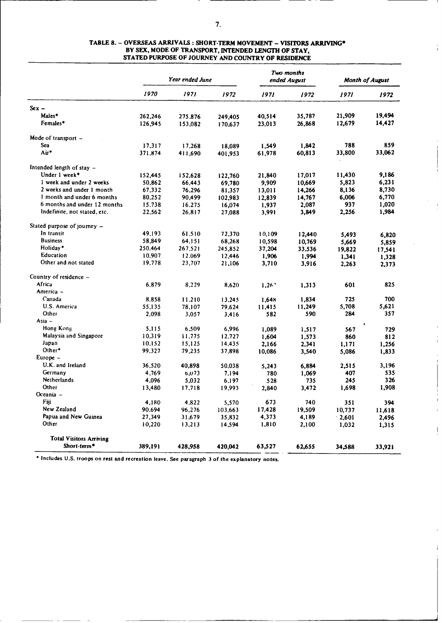| 7. |  |
|----|--|
|    |  |
|    |  |

# *Tio months Year* ended June ended August Month of **August** *1970 1971 1972 1971 1972 1971 1972* **Sex -** Males\* 262,246 275.876 249,405 40,514 35,787 **21,909 19,494** Females\* 126,945 153,082 170,637 23,013 26,868 12,679 14,427 Mode of transport -Sea 17.317 17,268 18,089 1,549 1,842 788 859 Air\* 371,874 411,690 401,953 61,978 60,813 33,800 33,062 Intended length of stay -<br>Under 1 week\* Under I week\* 152,445 152,628 122,760 21,840 17,017 11,430 **9,186** 1 week **and under** 2 weeks 50,862 66,443 69,780 9,909 10,669 5,823 6,231 2 weeks and under 1 month 67,332 76,296 81,357 13,011 14,266 8,136 8,730<br>1 month and under 6 months 80,252 90,499 102,983 12,839 14,767 6,006 6,770 1 month and under 6 months 80,252 90,499 102,983 12,839 14,767 6,006 6,770<br>6 months and under 12 months 15,738 16,275 16,074 1,937 2,087 937 1,020 6 months and under 12 months 15.738 16.275 16,074 1,937 2,087 937 1,020 Indefinite, not stated, etc. 22,562 26,817 27,088 Stated purpose of journey -In transit 19,193 61,510 72,370 10,109 12,440 5,493 6,820 Business 58,849 64.151 68,268 10,598 10,769 5,669 5,859 Holiday\* 250.464 267.521 245,852 37,204 33,536 19,822 17,541 Education 10,907 12.069 12,446 1,906 1,994 **1,341 1,328** Other and not stated 19.778 23,707 21,106 3,710 3,916 2,263 2,373 Country of residence -Africa 6,879 8,229 8.620 1,26' 1,313 601 825 America - Canada 8.858 11.210 13.245 1,648 1,834 725 700 U.S. America 55.135 78,107 79.624 11,415 11,249 5,708 5,621 Other 2.098 3.057 3,416 582 590 284 357  $Asia -$ Hong Kong 5,115 6.509 6,996 1,089 1,517 567 729 Malaysia and Singapore 10.319 11.775 12.727 1,604 1,573 860 812<br>
10.152 15,125 14.435 2.166 2.341 1.171 1.256 Japan 10.152 15,125 14.435 2,166 2,341 1,171 1,256 Other\* 99,327 79,235 37,898 10,086 3,540 **5,086 1,833** Europe - U.K. and Ireland 36,520 40,898 50,038 5,243 6,884 2,515 3,196<br>Germany 4,769 6,073 7,194 780 1,069 407 535 Germany 4,769 b,073 7.194 780 1,069 407 535 Netherlands 4,096 5,032 6.197 528 735 245 326 Other 13,480 17.718 19,993 2,840 3,472 1,698 **1,908** Oceania - Fiji 4,180 4.822 5,570 673 740 351 394 New Zealand 90.694 96,276 103,663 17,428 19,509 10,737 11,618 **Papua and New Guinea** 27,349 31,679 35,832 4,373 4,189 2,601 2,496<br>
Other 10,220 13,213 14,594 1,810 2,100 1,032 1,315 Other 10,220 13.213 14,594 1,810 2,100 1,032 1,31 **Total Visitors Arriving** Short-term' **389,191** 428,958 420,042 63,527 62,655 **34,588 33,921**

 $\overline{\phantom{a}}$ 

#### **TABLE 8.** - **OVERSEAS ARRIVALS** : **SHORT-TERM MOVEMENT - VISITORS ARRIVING\* BY SEX, MODE OF TRANSPORT, INTENDED LENGTH OF STAY, STATED PURPOSE OF JOURNEY AND COUNTRY OF RESIDENCE**

**\*** Includes U.S. **troops on rest and** recreation leave. See **paragraph** 3 **of** the **explanatory** notes.